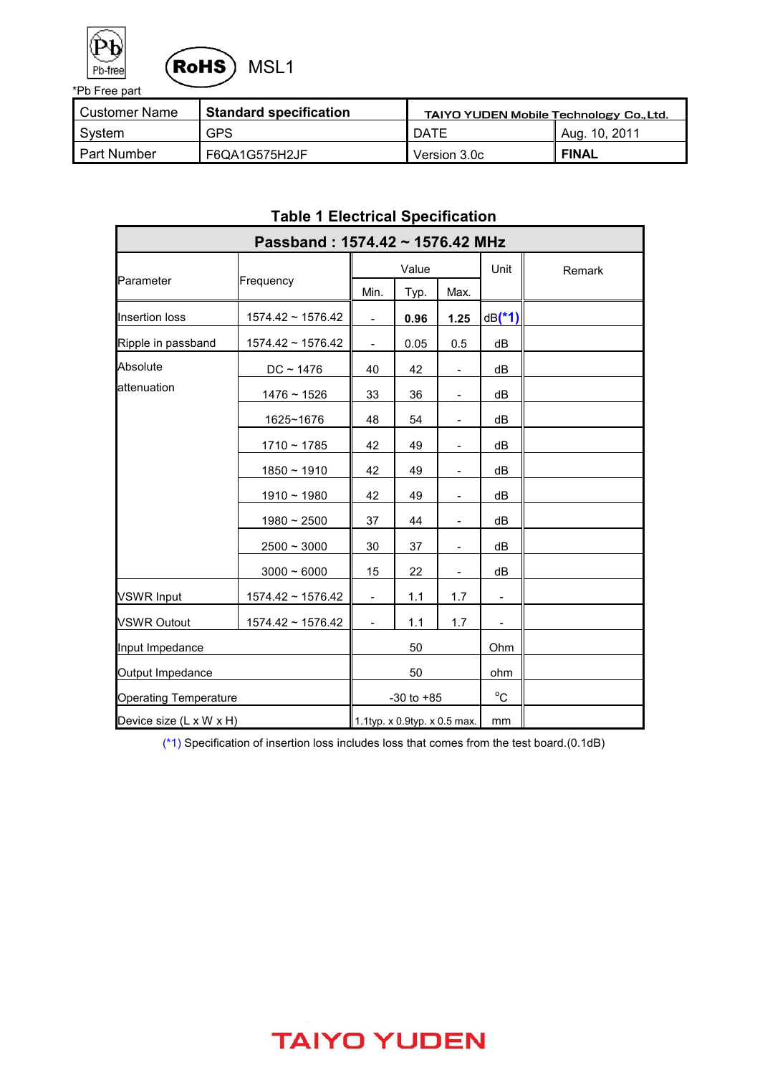



| l Customer Name | ∥ Standard specification | <b>TAIYO YUDEN Mobile Technology Co., Ltd.</b> |               |  |
|-----------------|--------------------------|------------------------------------------------|---------------|--|
| Svstem          | <b>GPS</b>               | DATE                                           | Aug. 10, 2011 |  |
| l Part Number   | F6QA1G575H2JF            | Version 3.0c                                   | <b>FINAL</b>  |  |

| Table 1 Electrical Specification |                        |                          |                              |                          |                |        |
|----------------------------------|------------------------|--------------------------|------------------------------|--------------------------|----------------|--------|
| Passband: 1574.42 ~ 1576.42 MHz  |                        |                          |                              |                          |                |        |
|                                  |                        | Value                    |                              |                          | Unit           | Remark |
| Parameter                        | Frequency              | Min.                     | Typ.                         | Max.                     |                |        |
| Insertion loss                   | $1574.42 \sim 1576.42$ | $\overline{\phantom{a}}$ | 0.96                         | 1.25                     | $dB(*1)$       |        |
| Ripple in passband               | $1574.42 \sim 1576.42$ | $\frac{1}{2}$            | 0.05                         | 0.5                      | dB             |        |
| Absolute                         | $DC - 1476$            | 40                       | 42                           | $\overline{\phantom{a}}$ | dB             |        |
| attenuation                      | $1476 - 1526$          | 33                       | 36                           | $\overline{\phantom{a}}$ | dB             |        |
|                                  | 1625~1676              | 48                       | 54                           |                          | dB             |        |
|                                  | $1710 - 1785$          | 42                       | 49                           | $\overline{\phantom{a}}$ | dB             |        |
|                                  | $1850 - 1910$          | 42                       | 49                           | $\overline{\phantom{a}}$ | dB             |        |
|                                  | $1910 - 1980$          | 42                       | 49                           |                          | dB             |        |
|                                  | $1980 \sim 2500$       | 37                       | 44                           | $\overline{\phantom{a}}$ | dB             |        |
|                                  | $2500 \sim 3000$       | 30                       | 37                           | $\overline{\phantom{a}}$ | dB             |        |
|                                  | $3000 - 6000$          | 15                       | 22                           | $\overline{\phantom{a}}$ | dB             |        |
| <b>VSWR Input</b>                | $1574.42 \sim 1576.42$ | $\overline{\phantom{a}}$ | 1.1                          | 1.7                      | $\blacksquare$ |        |
| <b>VSWR Outout</b>               | 1574.42~1576.42        | $\frac{1}{2}$            | 1.1                          | 1.7                      |                |        |
| Input Impedance                  |                        | 50                       |                              | Ohm                      |                |        |
| Output Impedance                 |                        |                          | 50                           |                          | ohm            |        |
| <b>Operating Temperature</b>     |                        | $-30$ to $+85$           |                              | $^{\circ}$ C             |                |        |
| Device size (L x W x H)          |                        |                          | 1.1typ. x 0.9typ. x 0.5 max. |                          | mm             |        |

### **Table 1 Electrical Specification**

(\*1) Specification of insertion loss includes loss that comes from the test board.(0.1dB)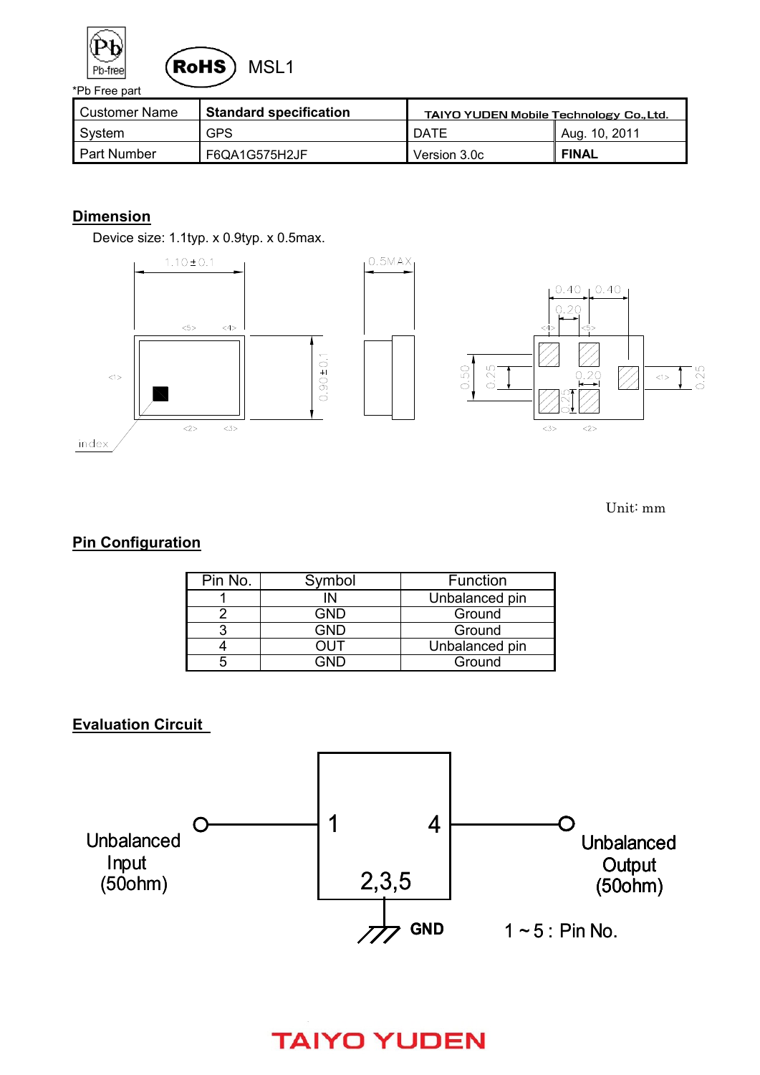



| Customer Name      | <b>Standard specification</b> | <b>TAIYO YUDEN Mobile Technology Co., Ltd.</b> |               |  |
|--------------------|-------------------------------|------------------------------------------------|---------------|--|
| System             | <b>GPS</b>                    | DATE                                           | Aug. 10, 2011 |  |
| <b>Part Number</b> | F6QA1G575H2JF                 | Version 3.0c                                   | <b>FINAL</b>  |  |

#### **Dimension**

Device size: 1.1typ. x 0.9typ. x 0.5max.



Unit: mm

#### **Pin Configuration**

| Pin No. | Symbol | Function       |
|---------|--------|----------------|
|         | ΙN     | Unbalanced pin |
|         | GND    | Ground         |
|         | GND    | Ground         |
|         |        | Unbalanced pin |
|         | חור    | Ground         |

#### **Evaluation Circuit**

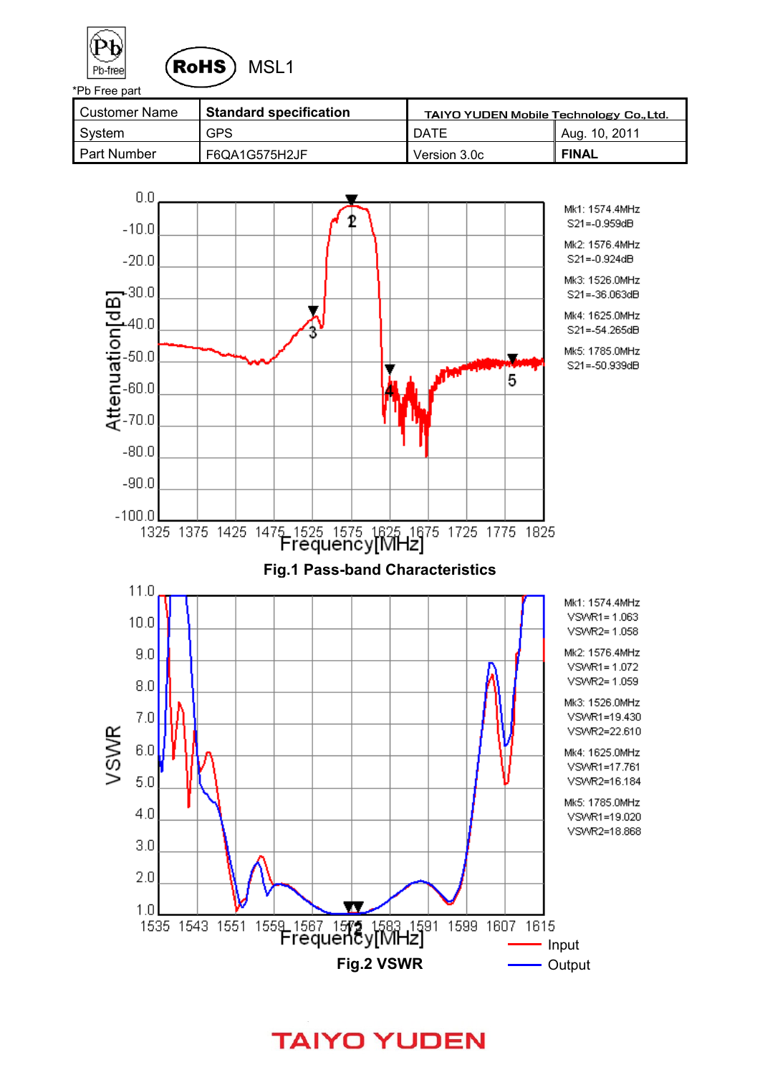



| l Customer Name | <b>Standard specification</b> | <b>TAIYO YUDEN Mobile Technology Co., Ltd.</b> |               |  |
|-----------------|-------------------------------|------------------------------------------------|---------------|--|
| System          | <b>GPS</b>                    | DATE                                           | Aug. 10, 2011 |  |
| l Part Number   | F6QA1G575H2JF                 | Version 3.0c                                   | <b>FINAL</b>  |  |



**TAIYO YUDEN**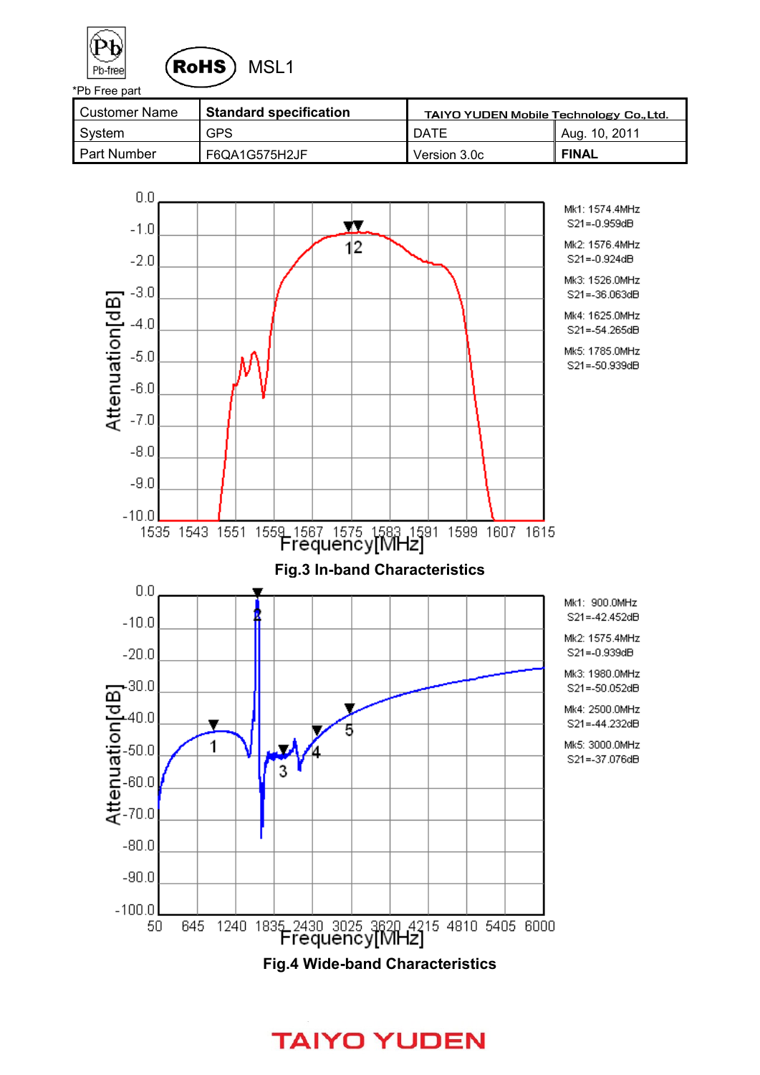



| l Customer Name | <b>Standard specification</b> | <b>TAIYO YUDEN Mobile Technology Co., Ltd.</b> |               |  |
|-----------------|-------------------------------|------------------------------------------------|---------------|--|
| System          | <b>GPS</b>                    | DATE                                           | Aug. 10, 2011 |  |
| l Part Number   | F6QA1G575H2JF                 | Version 3.0c                                   | <b>FINAL</b>  |  |

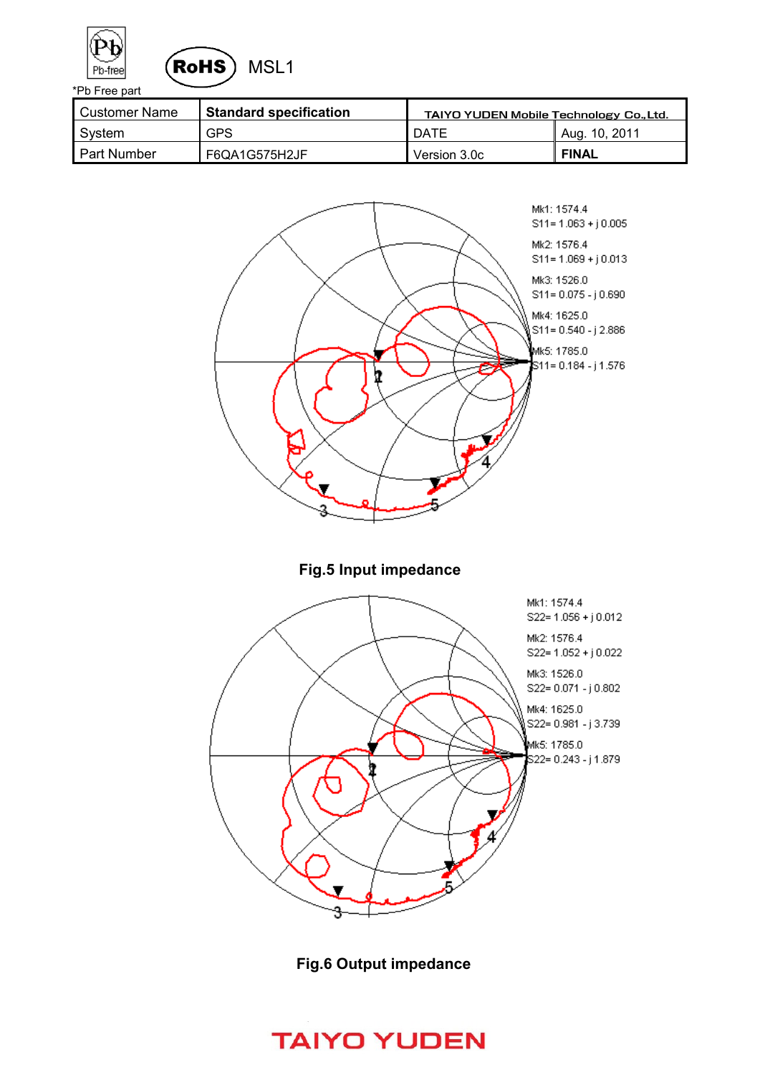



| l Customer Name    | Standard specification | <b>TAIYO YUDEN Mobile Technology Co., Ltd.</b> |               |  |
|--------------------|------------------------|------------------------------------------------|---------------|--|
| System             | <b>GPS</b>             | DATE                                           | Aug. 10, 2011 |  |
| <b>Part Number</b> | F6QA1G575H2JF          | Version 3.0c                                   | <b>FINAL</b>  |  |



**Fig.6 Output impedance**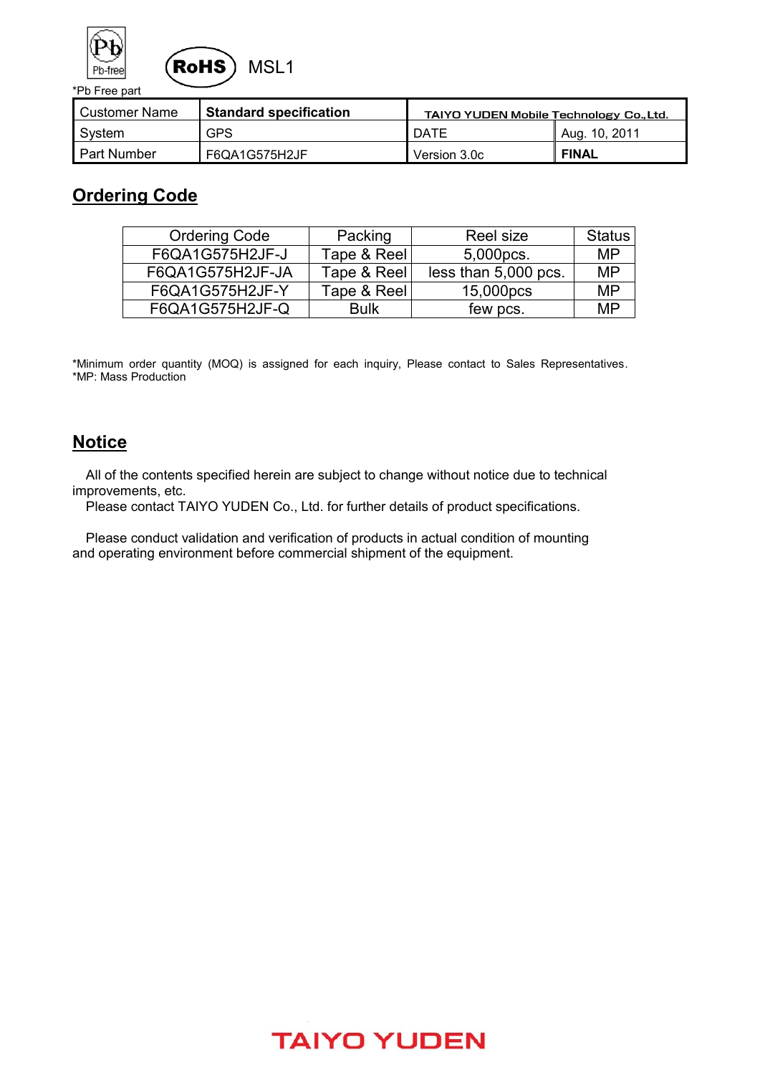



| Customer Name      | ∥ Standard specification | <b>TAIYO YUDEN Mobile Technology Co., Ltd.</b> |               |  |
|--------------------|--------------------------|------------------------------------------------|---------------|--|
| System             | <b>GPS</b>               | DATE                                           | Aug. 10, 2011 |  |
| <b>Part Number</b> | F6QA1G575H2JF            | Version 3.0c                                   | <b>FINAL</b>  |  |

### **Ordering Code**

| <b>Ordering Code</b> | Packing     | Reel size            | <b>Status</b> |
|----------------------|-------------|----------------------|---------------|
| F6QA1G575H2JF-J      | Tape & Reel | 5,000pcs.            | MP            |
| F6QA1G575H2JF-JA     | Tape & Reel | less than 5,000 pcs. | MP            |
| F6QA1G575H2JF-Y      | Tape & Reel | 15,000pcs            | MP            |
| F6QA1G575H2JF-Q      | <b>Bulk</b> | few pcs.             | MP            |

\*Minimum order quantity (MOQ) is assigned for each inquiry, Please contact to Sales Representatives. \*MP: Mass Production

### **Notice**

 All of the contents specified herein are subject to change without notice due to technical improvements, etc.

Please contact TAIYO YUDEN Co., Ltd. for further details of product specifications.

 Please conduct validation and verification of products in actual condition of mounting and operating environment before commercial shipment of the equipment.